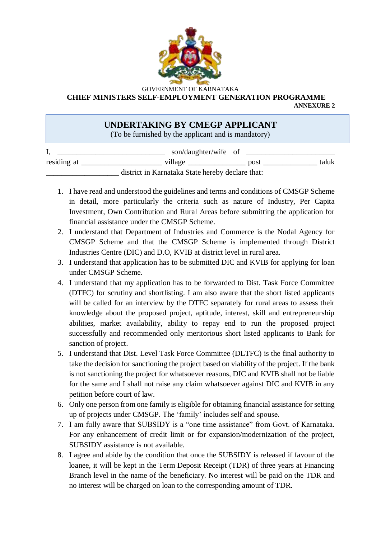

GOVERNMENT OF KARNATAKA  **CHIEF MINISTERS SELF-EMPLOYMENT GENERATION PROGRAMME**

**ANNEXURE 2**

## **UNDERTAKING BY CMEGP APPLICANT**

(To be furnished by the applicant and is mandatory)

|                                                  | son/daughter/wife of |  |      |       |
|--------------------------------------------------|----------------------|--|------|-------|
| residing at                                      | village              |  | post | taluk |
| district in Karnataka State hereby declare that: |                      |  |      |       |

- 1. I have read and understood the guidelines and terms and conditions of CMSGP Scheme in detail, more particularly the criteria such as nature of Industry, Per Capita Investment, Own Contribution and Rural Areas before submitting the application for financial assistance under the CMSGP Scheme.
- 2. I understand that Department of Industries and Commerce is the Nodal Agency for CMSGP Scheme and that the CMSGP Scheme is implemented through District Industries Centre (DIC) and D.O, KVIB at district level in rural area.
- 3. I understand that application has to be submitted DIC and KVIB for applying for loan under CMSGP Scheme.
- 4. I understand that my application has to be forwarded to Dist. Task Force Committee (DTFC) for scrutiny and shortlisting. I am also aware that the short listed applicants will be called for an interview by the DTFC separately for rural areas to assess their knowledge about the proposed project, aptitude, interest, skill and entrepreneurship abilities, market availability, ability to repay end to run the proposed project successfully and recommended only meritorious short listed applicants to Bank for sanction of project.
- 5. I understand that Dist. Level Task Force Committee (DLTFC) is the final authority to take the decision for sanctioning the project based on viability of the project. If the bank is not sanctioning the project for whatsoever reasons, DIC and KVIB shall not be liable for the same and I shall not raise any claim whatsoever against DIC and KVIB in any petition before court of law.
- 6. Only one person from one family is eligible for obtaining financial assistance for setting up of projects under CMSGP. The 'family' includes self and spouse.
- 7. I am fully aware that SUBSIDY is a "one time assistance" from Govt. of Karnataka. For any enhancement of credit limit or for expansion/modernization of the project, SUBSIDY assistance is not available.
- 8. I agree and abide by the condition that once the SUBSIDY is released if favour of the loanee, it will be kept in the Term Deposit Receipt (TDR) of three years at Financing Branch level in the name of the beneficiary. No interest will be paid on the TDR and no interest will be charged on loan to the corresponding amount of TDR.